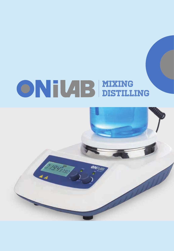# MIXING DISTILLING

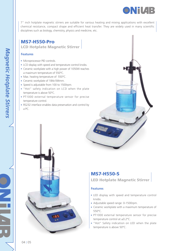

7" inch hotplate magnetic stirrers are suitable for various heating and mixing applications with excellent chemical resistance, compact shape and efficient heat transfer. They are widely used in many scientific disciplines such as biology, chemistry, physics and medicine, etc.

MS7-H550-Pro LCD Hotplate Magnetic Stirrer

#### **Features**

- Microprocessor PID controls.
- LCD display with speed and temperature control knobs.
- Ceramic workplate with a high power of 1050W reaches a maximum temperature of 550°C.
- Max. heating temperature of 550°C.
- Ceramic workplate of 184x184mm.
- Speed is adjustable from 100 to 1500rpm.
- "Hot" safety indication on LCD when the plate temperature is above 50°C.
- PT1000 external temperature sensor for precise temperature control.
- RS232 interface enables data preservation and control by a PC.





# MS7-H550-S

# LED Hotplate Magnetic Stirrer

- LED display with speed and temperature control knobs.
- Adjustable speed range: 0-1500rpm.
- Ceramic workplate with a maximum temperature of 550°C.
- PT1000 external temperature sensor for precise temperature control at ±0.2°C.
- "Hot" Safety indication on LED when the plate temperature is above 50°C.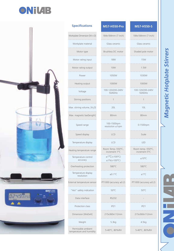



| <b>Specifications</b>                           | <b>MS7-H550-Pro</b>                               | <b>MS7-H550-S</b>                  |
|-------------------------------------------------|---------------------------------------------------|------------------------------------|
| Workplate Dimension [W x D]                     | 184x184mm (7 inch)                                | 184x184mm (7 inch)                 |
| Workplate material                              | Glass ceramic                                     | Glass ceramic                      |
| Motor type                                      | Brushless DC motor                                | Shaded pole motor                  |
| Motor rating input                              | <b>18W</b>                                        | <b>15W</b>                         |
| Motor rating output                             | <b>10W</b>                                        | 1.5W                               |
| Power                                           | 1050W                                             | 1030W                              |
| Heating output<br>.                             | 1000W                                             | 1000W                              |
| Voltage                                         | 100-120/200-240V<br>50/60Hz                       | 100-120/200-240V<br>50/60Hz        |
| Stirring positions                              | 1                                                 | 1                                  |
| Max. stirring volume, [H <sub>2</sub> O]        | 20L                                               | 10L                                |
| Max. magnetic bar[length]                       | 80mm                                              | 80mm                               |
| Speed range                                     | 100-1500rpm<br>$resolution \pm 1$ rpm             | 0-1500rpm                          |
| Speed display<br>.                              | LCD                                               | Scale                              |
| Temperature display                             | ICD                                               | <b>IFD</b>                         |
| Heating temperature range                       | Room Temp.-550°C,<br>increment 1°C                | Room temp.-550°C,<br>increment 5°C |
| Temperature control<br>accuracy                 | $\pm 1^{\circ}$ C(<100°C)<br>$\pm 1\% ( > 100°C)$ | ±10°C                              |
| Overheating protection                          | 580°C<br>.                                        | 580°C                              |
| Temperature display<br>resolution               | $\pm 0.1^{\circ}$ C                               | ±1°C                               |
| External temperature sensor                     | PT1000 (accuracy $\pm$ 0.2)                       | PT1000 (accuracy $\pm$ 0.2)        |
| "Hot" safety indication                         | 50°C                                              | 50°C                               |
| Data interface                                  | <b>RS232</b>                                      |                                    |
| Protection class                                | IP21                                              | IP21                               |
| Dimension [WxDxH]                               | 215x360x112mm                                     | 215x360x112mm                      |
| Weight                                          | 5.3kg                                             | 4.5kg                              |
| Permissible ambient<br>temperature and humidity | 5-40°C, 80%RH                                     | 5-40°C, 80%RH                      |

# Magnetic Hotplate Stirrers *Magnetic Hotplate Stirrers*

NHNH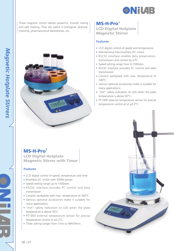

These magnetic stirrers deliver powerful, smooth mixing and safe heating. They are useful in biological, physical, chemical, pharmaceutical laboratories, etc.



# MS-H-Pro<sup>+</sup>

LCD Digital Hotplate Magnetic Stirrer

### **Features**

- LCD digital control of speed and temperature.
- Maintenance free brushless DC motor.
- RS232 interface enables data preservation, transmission and control by a PC.
- Speed setting range from 0-1500rpm.
- RS232 interface provides PC control and data transmission.
- Ceramic workplate with max. temperature of 340°C.
- Various optional accessories make it suitable for many applications.
- "Hot" safety indication on LED when the plate temperature is above 50°C.
- PT1000 external temperature sensor for precise temperature control at of ±0.2°C.

# MS-H-Pro<sup>T</sup>

LCD Digital Hotplate Magnetic Stirrer with Timer

- LCD digital control of speed, temperature and time.
- Brushless DC motor with 550W power.
- Speed setting range up to 1500rpm.
- RS232 interface provides PC control and data transmission.
- Ceramic workplate with max. temperature of 340°C.
- Various optional accessories make it suitable for many applications.
- "Hot" safety indication on LED when the plate temperature is above 50°C.
- PT1000 external temperature sensor for precise temperature control at ±0.2°C.
- Timer setting ranges from 1min to 99h59min.

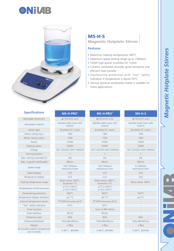J





Permiss

. . . . . . . . . . . . . . . .

. . . . . . . .

. . . . . . . . . . . . . . .

. . . . . . . .

# MS-H-S

Magnetic Hotplate Stirrer

- Maximum heating temperature 340°C.
- Maximum speed setting range up to 1500rpm.
- 530W high power brushless DC motor.
- Ceramic workplate provides good resistance and efficient heat transfer.
- Overheating protection with "hot" safety indication if temperature is above 50°C.
- Various optional accessories makes it suitable for many applications.

| <b>MS-H-PRO<sup>+</sup></b>           | <b>MS-H-PRO</b> T                           | $MS-H-S$                              |
|---------------------------------------|---------------------------------------------|---------------------------------------|
| $\Phi$ 135mm(5 inch)                  | $\phi$ 135mm(5 inch)                        | $\Phi$ 135mm(5 inch)                  |
| stainless steel cover with<br>ceramic | stainless steel cover with<br>ceramic       | stainless steel cover with<br>ceramic |
| Brushless DC motor                    | Brushless DC motor                          | Brushless DC motor                    |
| <b>18W</b>                            | <b>18W</b>                                  | <b>18W</b>                            |
| 10W                                   | 10W                                         | 10W                                   |
| 550W                                  | 550W                                        | 530W                                  |
| 500W                                  | 500W                                        | 500W                                  |
| 100-120/200-240V 50/60Hz              | 100-120/200-240V 50/60Hz                    | 100-120/200-240V 50/60Hz              |
|                                       |                                             |                                       |
| 201                                   | 201                                         | 201                                   |
| 80mm                                  | 80 <sub>mm</sub>                            | 80 <sub>mm</sub>                      |
| 100-1500rpm<br>resolution±1rpm        | 100-1500rpm<br>resolution±1rpm              | 0-1500rpm<br>resolution±1rpm          |
| ICD                                   | ICD                                         | Dial                                  |
| ICD                                   | ICD                                         | Dial                                  |
| Room temp.-340°C,<br>increment 1°C    | Room temp.-340°C,<br>increment 1°C          | Room temp.-340°C                      |
| ±1°C(<100°C)<br>$±1\%(>100°C)$        | $\pm 1^{\circ}$ C(<100°C)<br>$±1\%(>100°C)$ |                                       |
| 360°C                                 | 360°C                                       | 350°C                                 |
| $±0.1^{\circ}$ C                      | ±0.1°C                                      | $\pm 0.5^{\circ}$ C                   |
| PT1000 (accuracy $\pm$ 0.2)           | PT1000 (accuracy $\pm$ 0.2)                 |                                       |
| $50^{\circ}$ C                        | $50^{\circ}$ C                              |                                       |
|                                       | 1min to 99h 59min                           |                                       |
| RS232                                 | RS232                                       |                                       |
| IP42                                  | IP42                                        | IP42                                  |
| 160×280×85mm                          | 160×280×85mm                                | 160×280×85mm                          |
| 2.8 <sub>kq</sub>                     | 2.8kg                                       | 2.8kg                                 |
| 5-40°C, 80%RH                         | 5-40°C, 80%RH                               | 5-40°C, 80%RH                         |
|                                       |                                             |                                       |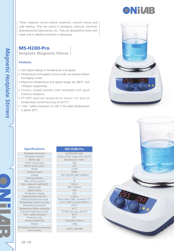

# MS-H280-Pro Hotplate Magnetic Stirrer

### **Features**

- LED digital display of temperature and speed.
- Temperature and speed control knobs are present below the display screen.
- Maximum temperature and speed ranges are 280°C and 1500rpm respectively.
- Ceramic coated stainless steel workplate with good chemical resistance.
- PT1000 external temperature sensor for precise temperature control accuracy at ±0.5°C.
- "Hot" safety indication on LED if the plate temperature is above 50°C.



**ONiVAB** 



### **Specifications**

| Workplate dimension                             | Φ135mm(5 inch)                               |
|-------------------------------------------------|----------------------------------------------|
| Workplate material                              | stainless steel coated with cerar            |
| Motor type                                      | Brushless DC motor                           |
| Motor rating input                              | 5W                                           |
| Motor rating output                             | 3W                                           |
| Power                                           | 515W                                         |
| Heating output                                  | 500W                                         |
| Voltage                                         | 100-120/200-240V 50/60Hz                     |
| Stirring positions                              |                                              |
| Max. stirring volume                            | 3L                                           |
| Max. magnetic bar[length]                       | 50mm                                         |
| Speed range                                     | 200-1500rpm                                  |
| Speed display                                   | I FD                                         |
| Temperature display                             | LED                                          |
| Speed display resolution                        | $±1$ rpm                                     |
| Heating temperature range                       | Room temp.-280, increment 1'                 |
| Temperature control accuracy                    | $\pm 1^{\circ}$ C(<100°C) $\pm 1\%$ (>100°C) |
| Overheating protection                          | 320°C                                        |
| Temperature display resolution                  | ±1°C                                         |
| External temperature sensor                     | PT1000 (accuracy ±0.5°C)                     |
| "Hot" safety indication                         | 50°C                                         |
| Protection class                                | IP21                                         |
| Dimension[WxDxH]                                | 150×260×100mm                                |
| Weight                                          | 1.8kg                                        |
| Permissible ambient temperature<br>and humidity | 5-40°C, 80%RH                                |

# **MS-H280-Pro**

| Workplate dimension           | Φ135mm(5 inch)                                   |
|-------------------------------|--------------------------------------------------|
| Workplate material            | stainless steel coated with ceramic              |
| Motor type                    | Brushless DC motor                               |
| Motor rating input            | 5W                                               |
| Motor rating output           | 3W                                               |
| Power                         | 515W                                             |
| Heating output                | 500W                                             |
| Voltage                       | 100-120/200-240V 50/60Hz                         |
| Stirring positions            |                                                  |
| Max. stirring volume          | 3L                                               |
| Max. magnetic bar[length]     | 50mm                                             |
| Speed range                   | 200-1500rpm                                      |
| Speed display                 | LED                                              |
| Temperature display           | I FD                                             |
| Speed display resolution      | $±1$ rpm                                         |
| Heating temperature range     | Room temp.-280, increment 1°C                    |
| emperature control accuracy   | $\pm 1^{\circ}C(<100^{\circ}C) \pm 1\%$ (>100°C) |
| Overheating protection        | 320°C                                            |
| emperature display resolution | ±1°C                                             |
| External temperature sensor   | PT1000 (accuracy ±0.5°C)                         |
| "Hot" safety indication       | 50°C                                             |
| Protection class              | IP21                                             |
| Dimension[WxDxH]              | 150×260×100mm                                    |
| Weight                        | 1.8kg                                            |
| missible ambient temperature  | 5-40°C, 80%RH                                    |
| and humidity                  |                                                  |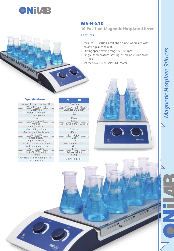

# MS-H-S10

10-Position Magnetic Hotplate Stirrer

#### **Features**

- Max. of 10 stirring positions on one workplate with an anti-slip silicone mat.
- Stirring speed setting range: 0-1100rpm.
- Single temperature setting at all positions from 0-120°C.
- 490W powerful brushless DC motor.

# **Specifications**

Workplate dimension[W x D] 180x450mm<br>
Workplate material Stainless steel with silicone<br>
Motor type Brushless DC motor<br>
Motor rating input 12W<br>
12W Motor rating output<br>
Power<br>
Heating output<br>
Working<br>
Working positions<br>
Stiming volume<br>
Stiming volume<br>
Max. stiming volume<br>
Max. magnetic bar[length]<br>
Max. magnetic bar[length]<br>
Max. magnetic bar[length]<br>
Speed display<br>
T Permissible ambient temperature ible ambient temperature<br>and humidity 5-40°C, 80%RH

# **MS-H-S10**

| 180x450mm                     |
|-------------------------------|
| Stainless steel with silicone |
| Brushless DC motor            |
| 12W                           |
| 4W                            |
| 490W                          |
| 470W                          |
| 100-120/200-240V 50/60Hz      |
| 10                            |
| $0.41 \times 10$              |
| 40 <sub>mm</sub>              |
| 0-1100rpm                     |
| Dial                          |
| Dial                          |
| Room temp.-120°C              |
| 140°C                         |
| IP42                          |
| 182×622×65mm                  |
| 3.2kg                         |
|                               |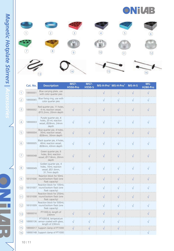



|                   | Cat. No. | <b>Description</b>                                                                | <b>MS7-</b><br><b>H550-Pro</b> | <b>MS7-</b><br><b>H550-S</b> |           | MS-H-Pro <sup>+</sup> MS-H-Pro <sup>T</sup> | MS-H-S    | MS-<br><b>H280-Pro</b> |
|-------------------|----------|-----------------------------------------------------------------------------------|--------------------------------|------------------------------|-----------|---------------------------------------------|-----------|------------------------|
| $\left( 1\right)$ | 18900001 | Blue carrying plate, use<br>with color quarter pies                               |                                |                              | $\sqrt{}$ |                                             | $\sqrt{}$ | $\sqrt{}$              |
| $\left( 2\right)$ | 18900065 | Blue fixing ring, use with<br>color quarter pies                                  |                                |                              |           |                                             | ΔI        |                        |
| (3)               | 18900002 | Red quarter pie, 11 holes,<br>4 mL reaction vessel,<br>Ø15.2mm, 20mm depth        |                                |                              |           |                                             |           |                        |
| (4)               | 18900003 | Purple quarter pie, 4<br>holes, 20 mL reaction<br>vessel, Ø28mm, 24mm<br>depth    |                                |                              |           |                                             |           |                        |
| (5)               | 18900004 | Blue quarter pie, 4 holes,<br>30mL reaction vessel,<br>Ø28mm, 30mm depth          | $\sqrt{}$                      |                              |           |                                             |           |                        |
| $6 \overline{6}$  | 18900005 | Black quarter pie, 4 holes,<br>40mL reaction vessel,<br>Ø28mm, 43mm depth         |                                |                              |           |                                             |           |                        |
| (7)               | 18900048 | Green quarter pie, 6<br>holes, 8mL reaction<br>vessel, Ø17.8mm, 26mm<br>depth     |                                |                              |           |                                             |           |                        |
| $\sqrt{8}$        | 18900049 | Golden quarter pie, 4<br>holes, 16mL reaction<br>vessel, Ø21.6mm,<br>31.7mm depth |                                |                              |           |                                             |           |                        |
| $\mathbf{9}$      | 18101006 | Reaction block for 50mL<br>round bottom flask (one<br>flask capacity)             |                                |                              |           |                                             |           |                        |
| (10)              | 18101007 | Reaction block for 100mL<br>round bottom flask (one<br>flask capacity)            |                                |                              |           |                                             |           |                        |
| (11)              |          | Reaction block for 250mL<br>18101008 round bottom flask (one<br>flask capacity)   |                                |                              | $\sqrt{}$ | $\sqrt{}$                                   | λĪ        |                        |
| (12)              |          | Reaction block for 500mL<br>18101009 round bottom flask (one<br>flask capacity)   |                                |                              |           |                                             |           |                        |
| (13)              | 18900016 | PT1000-A, length of<br>230mm                                                      |                                | V                            | $\sqrt{}$ | $\sqrt{}$                                   |           | ٦Ι                     |
| (14)              |          | PT1000-B, temperature<br>18900136 sensor coated with glass,<br>length of 230mm    |                                |                              |           |                                             |           |                        |
| (15)              |          | 18900017 Support clamp of PT1000                                                  |                                |                              |           |                                             |           |                        |
| (16)              |          | 18900148 Support clamp of PT1000                                                  |                                |                              |           |                                             |           |                        |

Ţ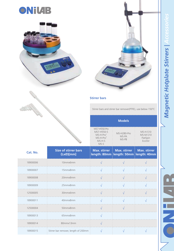





### **Stirrer bars**

MS7-H550-Pro MS7-H550-S

Stirrer bars and stirrer bar remover(PTFE), use below 150°C

**Models**

MS-H280-Pro

MS-H-S10 MS-M-S10

|          |                                          | MS-H-Pro <sup>+</sup><br>$MS-H-ProT$<br>$MS-H-S$<br>$MS-S$ | $1013 - 11200 - 110$<br>MS-PA<br>MS-PB                            | $MS-M-S10$<br>FlatSpin<br>EcoStir |
|----------|------------------------------------------|------------------------------------------------------------|-------------------------------------------------------------------|-----------------------------------|
| Cat. No. | <b>Size of stirrer bars</b><br>(LxØ)[mm] | <b>Max. stirrer</b>                                        | <b>Max. stirrer</b><br>length: 80mm   length: 50mm   length: 40mm | <b>Max. stirrer</b>               |
| 18900006 | 10mmx6mm                                 |                                                            |                                                                   |                                   |
| 18900007 | 15mmx8mm                                 |                                                            |                                                                   |                                   |
| 18900008 | 20mmx8mm                                 |                                                            |                                                                   |                                   |
| 18900009 | 25mmx8mm                                 | $\sqrt{ }$                                                 |                                                                   |                                   |
| 12500005 | 30mmx6mm                                 |                                                            |                                                                   |                                   |
| 18900011 | 40mmx8mm                                 |                                                            |                                                                   |                                   |
| 12500004 | 50mmx8mm                                 |                                                            |                                                                   |                                   |
| 18900013 | 65mmx8mm                                 |                                                            |                                                                   |                                   |
| 18900014 | 80mmx13mm                                |                                                            |                                                                   |                                   |
| 18900015 | Stirrer bar remover, length of 200mm     |                                                            |                                                                   |                                   |

ш m.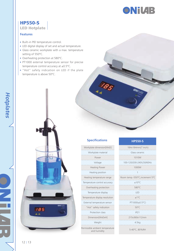

# HP550-S LED Hotplate

#### **Features**

- Built–in PID temperature control.
- LED digital display of set and actual temperature.
- Glass ceramic workplate with a max. temperature setting of 550°C.
- Overheating protection at 580°C.
- PT1000 external temperature sensor for precise temperature control accuracy at ±0.5°C.
- "Hot" safety indication on LED if the plate temperature is above 50°C.

# **Specifications**

| Workplate dimension[WxD]                        | 184x184mm        |
|-------------------------------------------------|------------------|
| Workplate material                              | Glass cera       |
| Power                                           | 1010V            |
| Voltage                                         | 100-120/200-24   |
| Heating Power                                   | 1000V            |
| Heating position                                |                  |
| Heating temperature range                       | Room temp.-550°C |
| Temperature control accuracy                    | $+10^{\circ}$ C  |
| Overheating protection                          | 580°C            |
| Temperature display                             | I FD             |
| Temperature display resolution                  | $+1^{\circ}$ C   |
| External temperature sensor                     | PT1000(±0        |
| "Hot" safety indication                         | $50^{\circ}$ C   |
| Protection class                                | IP21             |
| Dimension[WxDxH]                                | 215x360x1        |
| Weight                                          | 4.5kg            |
| Permissible ambient temperature<br>and humidity | 5-40°C.80        |

| <b>HP550-S</b> |  |
|----------------|--|
|                |  |

| Workplate dimension[WxD]                      | 184x184mm(7 inch)               |  |
|-----------------------------------------------|---------------------------------|--|
| Workplate material                            | Glass ceramic                   |  |
| Power                                         | 1010W                           |  |
| Voltage                                       | 100-120/200-240V.50/60Hz        |  |
| <b>Heating Power</b>                          | 1000W                           |  |
| Heating position                              | 1                               |  |
| Heating temperature range                     | Room temp.-550°C, increment 5°C |  |
| Temperature control accuracy                  | $+10^{\circ}$ C                 |  |
| Overheating protection                        | 580°C                           |  |
| Temperature display                           | <b>IFD</b>                      |  |
| emperature display resolution                 | $+1^{\circ}C$                   |  |
| External temperature sensor                   | PT1000(±0.5°C)                  |  |
| "Hot" safety indication                       | 50°C                            |  |
| Protection class                              | IP21                            |  |
| Dimension[WxDxH]                              | 215x360x112mm                   |  |
| Weight                                        | 4.5kg                           |  |
| rmissible ambient temperature<br>and humidity | 5-40°C. 80%RH                   |  |

**185** . .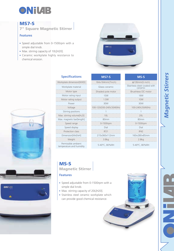

# MS7-S

7" Square Magnetic Stirrer

# **Features**

ONIUI

- Speed adjustable from 0-1500rpm with a simple dial knob.
- Max. stirring capacity of 10L[H20].
- Ceramic workplate highly resistance to chemical erosion.



# **Specifications**

| Workplate dimension[WXD]                        | 184x184mm(7inch)         | $\phi$ 135mm(5 inch               |
|-------------------------------------------------|--------------------------|-----------------------------------|
| Workplate material                              | Glass ceramic            | Stainless steel coated<br>ceramic |
| Motor type                                      | Shaded pole motor        | Brushless DC mot                  |
| Motor rating input                              | <b>15W</b>               | <b>18W</b>                        |
| Motor rating output                             | 1.5W                     | 10W                               |
| Power                                           | 30W                      | 30W                               |
| Voltage                                         | 100-120/200-240V,50/60Hz | 100-240V,50/60H                   |
| Stirring positions                              |                          |                                   |
| Max. stirring volume[H <sub>2</sub> O]          | 10L                      | 20L                               |
| Max. magnetic bar[length]                       | 80mm                     | 80mm                              |
| Speed range                                     | 0-1500rpm                | 0-1500rpm                         |
| Speed display                                   | Dial                     | Dial                              |
| Protection class                                | IP21                     | IP42                              |
| Dimension[WxDxH]                                | 215x360x112mm            | 160×280×85mm                      |
| Weight                                          | 3.8 <sub>kq</sub>        | 2.8kg                             |
| Permissible ambient<br>temperature and humidity | 5-40°C, 80%RH            | 5-40°C. 80%RH                     |

| <b>Specifications</b>                          | <b>MS7-S</b>             | MS-S                              |
|------------------------------------------------|--------------------------|-----------------------------------|
| rkplate dimension[WXD]                         | 184x184mm(7inch)         | $\phi$ 135mm(5 inch)              |
| Workplate material                             | Glass ceramic            | Stainless steel coated<br>ceramic |
| Motor type                                     | Shaded pole motor        | Brushless DC moto                 |
| Motor rating input                             | <b>15W</b>               | <b>18W</b>                        |
| Motor rating output                            | 1.5W                     | 10W                               |
| Power                                          | 30W                      | 30W                               |
| Voltage                                        | 100-120/200-240V,50/60Hz | 100-240V,50/60Hz                  |
| Stirring positions                             |                          |                                   |
| ax. stirring volume[H <sub>2</sub> O]          | 10L                      | 20L                               |
| x. magnetic bar[length]                        | 80 <sub>mm</sub>         | 80 <sub>mm</sub>                  |
| Speed range                                    | 0-1500rpm                | 0-1500rpm                         |
| Speed display                                  | Dial                     | Dial                              |
| Protection class                               | IP21                     | IP42                              |
| Dimension[WxDxH]                               | 215x360x112mm            | 160×280×85mm                      |
| Weight                                         | 3.8 <sub>kq</sub>        | 2.8kg                             |
| Permissible ambient<br>anovativa and humidity. | 5-40°C, 80%RH            | 5-40°C. 80%RH                     |

| <b>Specifications</b>                | <b>MS7-S</b>             | MS-S                                   |
|--------------------------------------|--------------------------|----------------------------------------|
| kplate dimension[WXD]                | 184x184mm(7inch)         | $\phi$ 135mm(5 inch)                   |
| Workplate material                   | Glass ceramic            | Stainless steel coated with<br>ceramic |
| Motor type                           | Shaded pole motor        | Brushless DC motor                     |
| Motor rating input                   | <b>15W</b>               | <b>18W</b>                             |
| Motor rating output                  | 1.5W                     | 10W                                    |
| Power                                | 30W                      | 30W                                    |
| Voltage                              | 100-120/200-240V,50/60Hz | 100-240V,50/60Hz                       |
| Stirring positions                   |                          |                                        |
| x. stirring volume[H <sub>2</sub> O] | 10L                      | 20L                                    |
| k. magnetic bar[length]              | 80 <sub>mm</sub>         | 80 <sub>mm</sub>                       |
| Speed range                          | 0-1500rpm                | 0-1500rpm                              |
| Speed display                        | Dial                     | Dial                                   |
| Protection class                     | IP21                     | IP42                                   |
| Dimension[WxDxH]                     | 215x360x112mm            | 160×280×85mm                           |
| Weight<br>--------------             | 3.8 <sub>kq</sub>        | 2.8kg                                  |
|                                      |                          |                                        |

# MS-S Magnetic Stirrer

# **Features**

- Speed adjustable from 0-1500rpm with a simple dial knob.
- Max. stirring capacity of 20L[H20].
- Stainless steel ceramic workplate which can provide good chemical resistance.

Magnetic Stirrers *Magnetic Stirrers*

 $\overline{\phantom{a}}$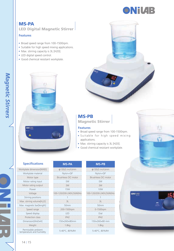

# MS-PA LED Digital Magnetic Stirrer

#### **Features**

- Broad speed range from 100-1500rpm.
- Suitable for high speed mixing applications.
- Max. stirring capacity is 3L [H20].
- LED digital speed control.
- Good chemical resistant workplate.





# MS-PB

Magnetic Stirrer

#### **Features**

- Broad speed range from 100-1500rpm.
- · Suitable for high speed mixing applications.
- Max. stirring capacity is 3L [H20].
- Good chemical resistant workplate.

# **Specifications**

Workplate dimension[WXD] Workplate material Motor type Motor rating input Motor rating output Voltage 100-120/200-240V,50/60Hz 100-120/200-240V,50/60Hz Stirring positions Max. stirring volume $[H_2O]$ Max. magnetic bar[length] Speed range Speed display Protection class Dimension[WxDxH]

# **MS-PA MS-PB**

| Workplate dimension[WXD]                        | $\phi$ 135(5 inch)mm     | $\phi$ 135(5 inch)mm     |
|-------------------------------------------------|--------------------------|--------------------------|
| Workplate material                              | Nylon+GF                 | Nylon+GF                 |
| Motor type                                      | Brushless DC motor       | Brushless DC motor       |
| Motor rating input                              | 5W                       | 5W                       |
| Motor rating output                             | 3W                       | 3W                       |
| Power                                           | <b>15W</b>               | 10W                      |
| Voltage                                         | 100-120/200-240V,50/60Hz | 100-120/200-240V,50/60Hz |
| Stirring positions                              |                          |                          |
| Max. stirring volume[H <sub>2</sub> O]          | 31                       | 31                       |
| Max. magnetic bar[length]                       | 50 <sub>mm</sub>         | 50 <sub>mm</sub>         |
| Speed range                                     | 200-1500rpm              | 0-1500rpm                |
| Speed display                                   | <b>IFD</b>               | Dial                     |
| Protection class                                | IP42                     | IP42                     |
| Dimension[WxDxH]                                | 150×260×80mm             | 150×260×80 mm            |
| Weight                                          | 1.8 <sub>kq</sub>        | 1.8 <sub>kq</sub>        |
| Permissible ambient<br>temperature and humidity | 5-40°C. 80%RH            | 5-40°C. 80%RH            |

| MS-PB                   |  |  |  |
|-------------------------|--|--|--|
| $\phi$ 135(5 inch)mm    |  |  |  |
| Nylon+GF                |  |  |  |
| Brushless DC motor      |  |  |  |
| 5W                      |  |  |  |
| 3W                      |  |  |  |
| 10W                     |  |  |  |
| 00-120/200-240V,50/60Hz |  |  |  |
| 1                       |  |  |  |
| 31                      |  |  |  |
| 50mm                    |  |  |  |
| 0-1500rpm               |  |  |  |
| Dial                    |  |  |  |
| IP42                    |  |  |  |
| 150×260×80 mm           |  |  |  |
| 1.8ka                   |  |  |  |

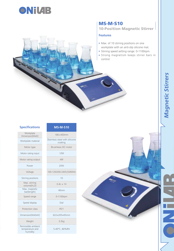

# MS-M-S10 10-Position Magnetic Stirrer

# **Features**

- Max. of 10 stirring positions on one workplate with an anti-slip silicone mat.
- Stirring speed setting range: 0-1100rpm.
- Strong magnetism keeps stirrer bars in control.

#### **Specifications**

| Workplate<br>Dimension[WxD]                        | 180×450mm                                |
|----------------------------------------------------|------------------------------------------|
| Workplate material                                 | Stainless steel with silicone<br>coating |
| Motor type                                         | Brushless DC motor                       |
| Motor rating input                                 | 12W                                      |
| Motor rating output                                | 4W                                       |
| Power                                              | 20W                                      |
| Voltage                                            | 100-120/200-240V.50/60Hz                 |
| Stirring positions                                 | 10                                       |
| Max. stirring<br>volume[H <sub>2</sub> O]          | $0.41 \times 10$                         |
| Max. magnetic<br>bar[length]                       | 40mm                                     |
| Speed range                                        | 0-1100rpm                                |
| Speed display                                      | Dial                                     |
| Protection class                                   | IP21                                     |
| Dimension[WxDxH]                                   | 622×205×65mm                             |
| Weight                                             | 3.2kg                                    |
| Permissible ambient<br>temperature and<br>humidity | 5-40°C. 80%RH                            |

**MS-M-S10**

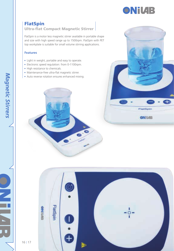

**FlatSpin** 

**ONILAB** 

# FlatSpin

# Ultra-flat Compact Magnetic Stirrer

FlatSpin is a motor less magnetic stirrer available in portable shape and size with high speed range up to 1500rpm. FlatSpin with PET top workplate is suitable for small volume stirring applications.

- Light in weight, portable and easy to operate.
- Electronic speed regulation: from 0-1100rpm.
- High resistance to chemicals.
- Maintenance-free ultra-flat magnetic stirrer.
- Auto reverse rotation ensures enhanced mixing.